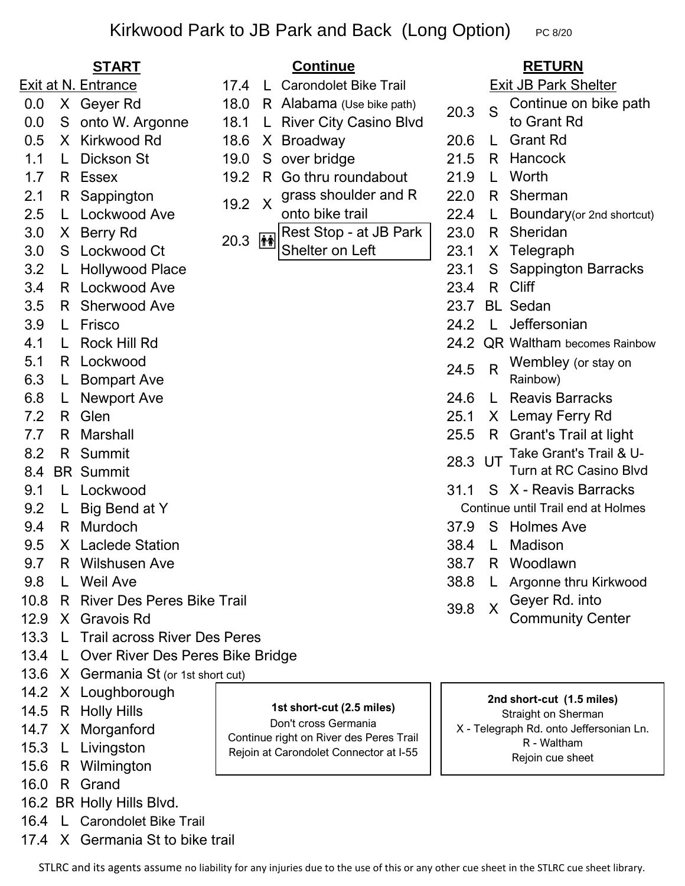# Kirkwood Park to JB Park and Back (Long Option)  $P_{C 8/20}$

- 0.0 X Geyer Rd 18.0
- 0.0 S onto W. Argonne 18.1 L River City Casino Blvd
- 0.5 X Kirkwood Rd 18.6 X Broadway 20.6 L
- 1.1 L Dickson St 19.0 S over bridge 21.5
- 
- 
- 
- 
- 
- 3.2 L Hollywood Place 23.1
- 3.4 R Lockwood Ave 23.4 R
- 3.5 R Sherwood Ave
- 3.9 L Frisco 24.2 L
- 4.1 L Rock Hill Rd
- 5.1 R Lockwood
- 6.3 L Bompart Ave
- 6.8 L Newport Ave 24.6
- 7.2 R Glen 25.1 X
- 
- 8.2 R Summit
- 8.4 BR Summit
- 9.1 L Lockwood 31.1
- 9.2 L Big Bend at Y
- 
- 9.5 X Laclede Station 38.4 L Madison
- 9.7 R Wilshusen Ave 38.7 R Woodlawn
- 
- 10.8 R River Des Peres Bike Trail
- 12.9 X Gravois Rd
- 13.3 L Trail across River Des Peres
- 13.4 L Over River Des Peres Bike Bridge
- 13.6 X Germania St (or 1st short cut)
- 14.2 X Loughborough
- 14.5 R Holly Hills
- 14.7 X Morganford
- 15.3 L Livingston
- 15.6 R Wilmington
- 16.0 R Grand
- 16.2 BR Holly Hills Blvd.
- 16.4 L Carondolet Bike Trail
- 17.4 X Germania St to bike trail

## **START RETURN Continue**

- 17.4 L Carondolet Bike Trail Exit at N. Entrance **Exit at N. Entrance** 17.4 L Carondolet Bike Trail **Exit JB Park Shelter** 
	- R Alabama (Use bike path)
	-
	-
	-
- 1.7 R Essex 19.2 R Go thru roundabout 21.9
- 2.1 R Sappington  $\overline{a}$   $\overline{a}$   $\overline{a}$   $\overline{a}$  grass shoulder and R  $\overline{a}$  22.0 R 2.1 K Sappington  $19.2 \times 9$  dass shoulder and K  $22.0 \times 2.5$  L Lockwood Ave  $22.4 \times 2.5$  L 19.2
	- onto bike trail
- 3.0 X Berry Rd 20.3 **A** Rest Stop at JB Park 23.0 R Sheridan  $3.0 \times 10^{14}$  20.3  $\frac{100}{14}$  Shelter on Left 23.1 Shelter on Left

- 
- S Continue on bike path
- 20.3  $S_{\text{to Grant Rd}}^{\text{to minute of}}$ 
	- Grant Rd
	- R Hancock
	- Worth
	- R Sherman
- Boundary(or 2nd shortcut)
- 
- X Telegraph
- S Sappington Barracks
	- R Cliff
- 23.7 BL Sedan
- Jeffersonian
- 24.2 QR Waltham becomes Rainbow
- 24.5 R Wembley (or stay on Rainbow)
- L Reavis Barracks
- Lemay Ferry Rd
- 7.7 R Marshall 25.5 R Grant's Trail at light
	- 28.3 UT Take Grant's Trail & U-Turn at RC Casino Blvd
	- X Reavis Barracks Continue until Trail end at Holmes
- 9.4 R Murdoch 37.9 S Holmes Ave
	-
	-
- 9.8 L Weil Ave 2012 12:38.8 L Argonne thru Kirkwood
	- 39.8 X Geyer Rd. into
		- Community Center

### **2nd short-cut (1.5 miles)**  Straight on Sherman X - Telegraph Rd. onto Jeffersonian Ln. R - Waltham Rejoin cue sheet

STLRC and its agents assume no liability for any injuries due to the use of this or any other cue sheet in the STLRC cue sheet library.

 **1st short-cut (2.5 miles)**  Don't cross Germania Continue right on River des Peres Trail Rejoin at Carondolet Connector at I-55